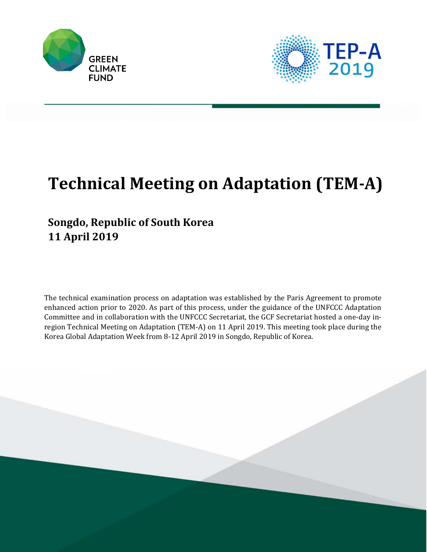



# **Technical Meeting on Adaptation (TEM‐A)**

## **Songdo, Republic of South Korea 11 April 2019**

The technical examination process on adaptation was established by the Paris Agreement to promote enhanced action prior to 2020. As part of this process, under the guidance of the UNFCCC Adaptation Committee and in collaboration with the UNFCCC Secretariat, the GCF Secretariat hosted a one-day inregion Technical Meeting on Adaptation (TEM-A) on 11 April 2019. This meeting took place during the Korea Global Adaptation Week from 8-12 April 2019 in Songdo, Republic of Korea.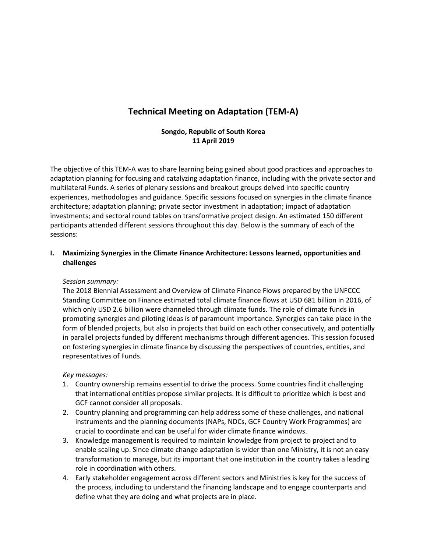### **Technical Meeting on Adaptation (TEM‐A)**

#### **Songdo, Republic of South Korea 11 April 2019**

The objective of this TEM‐A was to share learning being gained about good practices and approaches to adaptation planning for focusing and catalyzing adaptation finance, including with the private sector and multilateral Funds. A series of plenary sessions and breakout groups delved into specific country experiences, methodologies and guidance. Specific sessions focused on synergies in the climate finance architecture; adaptation planning; private sector investment in adaptation; impact of adaptation investments; and sectoral round tables on transformative project design. An estimated 150 different participants attended different sessions throughout this day. Below is the summary of each of the sessions:

#### **I. Maximizing Synergies in the Climate Finance Architecture: Lessons learned, opportunities and challenges**

#### *Session summary:*

The 2018 Biennial Assessment and Overview of Climate Finance Flows prepared by the UNFCCC Standing Committee on Finance estimated total climate finance flows at USD 681 billion in 2016, of which only USD 2.6 billion were channeled through climate funds. The role of climate funds in promoting synergies and piloting ideas is of paramount importance. Synergies can take place in the form of blended projects, but also in projects that build on each other consecutively, and potentially in parallel projects funded by different mechanisms through different agencies. This session focused on fostering synergies in climate finance by discussing the perspectives of countries, entities, and representatives of Funds.

#### *Key messages:*

- 1. Country ownership remains essential to drive the process. Some countries find it challenging that international entities propose similar projects. It is difficult to prioritize which is best and GCF cannot consider all proposals.
- 2. Country planning and programming can help address some of these challenges, and national instruments and the planning documents (NAPs, NDCs, GCF Country Work Programmes) are crucial to coordinate and can be useful for wider climate finance windows.
- 3. Knowledge management is required to maintain knowledge from project to project and to enable scaling up. Since climate change adaptation is wider than one Ministry, it is not an easy transformation to manage, but its important that one institution in the country takes a leading role in coordination with others.
- 4. Early stakeholder engagement across different sectors and Ministries is key for the success of the process, including to understand the financing landscape and to engage counterparts and define what they are doing and what projects are in place.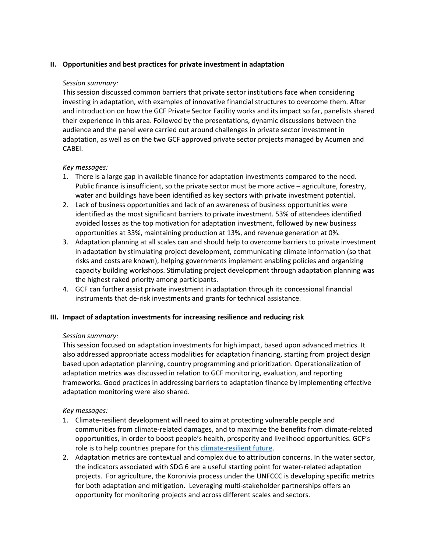#### **II. Opportunities and best practices for private investment in adaptation**

#### *Session summary:*

This session discussed common barriers that private sector institutions face when considering investing in adaptation, with examples of innovative financial structures to overcome them. After and introduction on how the GCF Private Sector Facility works and its impact so far, panelists shared their experience in this area. Followed by the presentations, dynamic discussions between the audience and the panel were carried out around challenges in private sector investment in adaptation, as well as on the two GCF approved private sector projects managed by Acumen and CABEI.

#### *Key messages:*

- 1. There is a large gap in available finance for adaptation investments compared to the need. Public finance is insufficient, so the private sector must be more active – agriculture, forestry, water and buildings have been identified as key sectors with private investment potential.
- 2. Lack of business opportunities and lack of an awareness of business opportunities were identified as the most significant barriers to private investment. 53% of attendees identified avoided losses as the top motivation for adaptation investment, followed by new business opportunities at 33%, maintaining production at 13%, and revenue generation at 0%.
- 3. Adaptation planning at all scales can and should help to overcome barriers to private investment in adaptation by stimulating project development, communicating climate information (so that risks and costs are known), helping governments implement enabling policies and organizing capacity building workshops. Stimulating project development through adaptation planning was the highest raked priority among participants.
- 4. GCF can further assist private investment in adaptation through its concessional financial instruments that de-risk investments and grants for technical assistance.

#### **III. Impact of adaptation investments for increasing resilience and reducing risk**

#### *Session summary:*

This session focused on adaptation investments for high impact, based upon advanced metrics. It also addressed appropriate access modalities for adaptation financing, starting from project design based upon adaptation planning, country programming and prioritization. Operationalization of adaptation metrics was discussed in relation to GCF monitoring, evaluation, and reporting frameworks. Good practices in addressing barriers to adaptation finance by implementing effective adaptation monitoring were also shared.

#### *Key messages:*

- 1. Climate-resilient development will need to aim at protecting vulnerable people and communities from climate‐related damages, and to maximize the benefits from climate‐related opportunities, in order to boost people's health, prosperity and livelihood opportunities. GCF's role is to help countries prepare for this climate-resilient future.
- 2. Adaptation metrics are contextual and complex due to attribution concerns. In the water sector, the indicators associated with SDG 6 are a useful starting point for water‐related adaptation projects. For agriculture, the Koronivia process under the UNFCCC is developing specific metrics for both adaptation and mitigation. Leveraging multi‐stakeholder partnerships offers an opportunity for monitoring projects and across different scales and sectors.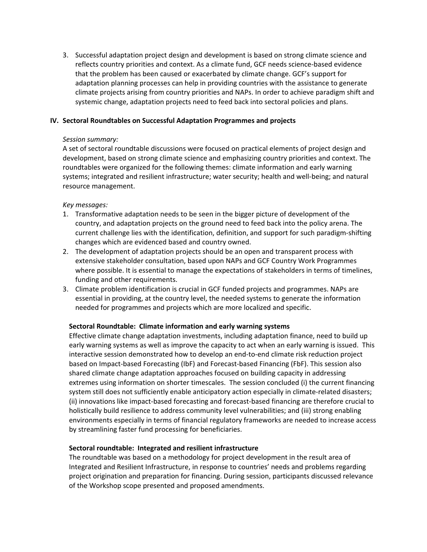3. Successful adaptation project design and development is based on strong climate science and reflects country priorities and context. As a climate fund, GCF needs science‐based evidence that the problem has been caused or exacerbated by climate change. GCF's support for adaptation planning processes can help in providing countries with the assistance to generate climate projects arising from country priorities and NAPs. In order to achieve paradigm shift and systemic change, adaptation projects need to feed back into sectoral policies and plans.

#### **IV. Sectoral Roundtables on Successful Adaptation Programmes and projects**

#### *Session summary:*

A set of sectoral roundtable discussions were focused on practical elements of project design and development, based on strong climate science and emphasizing country priorities and context. The roundtables were organized for the following themes: climate information and early warning systems; integrated and resilient infrastructure; water security; health and well‐being; and natural resource management.

#### *Key messages:*

- 1. Transformative adaptation needs to be seen in the bigger picture of development of the country, and adaptation projects on the ground need to feed back into the policy arena. The current challenge lies with the identification, definition, and support for such paradigm‐shifting changes which are evidenced based and country owned.
- 2. The development of adaptation projects should be an open and transparent process with extensive stakeholder consultation, based upon NAPs and GCF Country Work Programmes where possible. It is essential to manage the expectations of stakeholders in terms of timelines, funding and other requirements.
- 3. Climate problem identification is crucial in GCF funded projects and programmes. NAPs are essential in providing, at the country level, the needed systems to generate the information needed for programmes and projects which are more localized and specific.

#### **Sectoral Roundtable: Climate information and early warning systems**

Effective climate change adaptation investments, including adaptation finance, need to build up early warning systems as well as improve the capacity to act when an early warning is issued. This interactive session demonstrated how to develop an end‐to‐end climate risk reduction project based on Impact-based Forecasting (IbF) and Forecast-based Financing (FbF). This session also shared climate change adaptation approaches focused on building capacity in addressing extremes using information on shorter timescales. The session concluded (i) the current financing system still does not sufficiently enable anticipatory action especially in climate-related disasters; (ii) innovations like impact‐based forecasting and forecast‐based financing are therefore crucial to holistically build resilience to address community level vulnerabilities; and (iii) strong enabling environments especially in terms of financial regulatory frameworks are needed to increase access by streamlining faster fund processing for beneficiaries.

#### **Sectoral roundtable: Integrated and resilient infrastructure**

The roundtable was based on a methodology for project development in the result area of Integrated and Resilient Infrastructure, in response to countries' needs and problems regarding project origination and preparation for financing. During session, participants discussed relevance of the Workshop scope presented and proposed amendments.